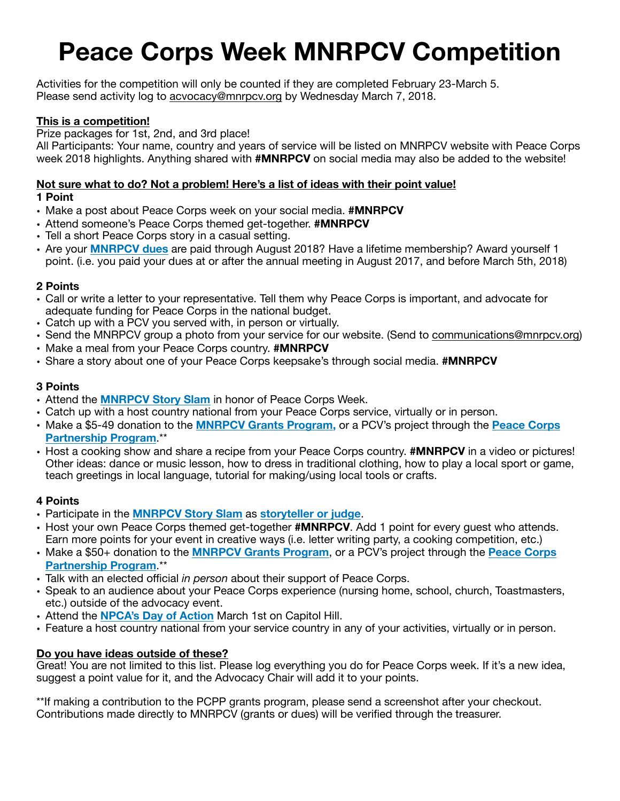# **Peace Corps Week MNRPCV Competition**

Activities for the competition will only be counted if they are completed February 23-March 5. Please send activity log to [acvocacy@mnrpcv.org](mailto:acvocacy@mnrpcv.org) by Wednesday March 7, 2018.

#### **This is a competition!**

Prize packages for 1st, 2nd, and 3rd place!

All Participants: Your name, country and years of service will be listed on MNRPCV website with Peace Corps week 2018 highlights. Anything shared with **#MNRPCV** on social media may also be added to the website!

#### **Not sure what to do? Not a problem! Here's a list of ideas with their point value! 1 Point**

- Make a post about Peace Corps week on your social media. **#MNRPCV**
- Attend someone's Peace Corps themed get-together. **#MNRPCV**
- Tell a short Peace Corps story in a casual setting.
- Are your **[MNRPCV dues](https://mnrpcv.nationbuilder.com/dues)** are paid through August 2018? Have a lifetime membership? Award yourself 1 point. (i.e. you paid your dues at or after the annual meeting in August 2017, and before March 5th, 2018)

#### **2 Points**

- Call or write a letter to your representative. Tell them why Peace Corps is important, and advocate for adequate funding for Peace Corps in the national budget.
- Catch up with a PCV you served with, in person or virtually.
- Send the MNRPCV group a photo from your service for our website. (Send to [communications@mnrpcv.org](mailto:communications@mnrpcv.org))
- Make a meal from your Peace Corps country. **#MNRPCV**
- Share a story about one of your Peace Corps keepsake's through social media. **#MNRPCV**

#### **3 Points**

- Attend the **[MNRPCV Story Slam](https://www.facebook.com/events/147585929374009/)** in honor of Peace Corps Week.
- Catch up with a host country national from your Peace Corps service, virtually or in person.
- Make a \$5-49 donation to the **[MNRPCV Grants Program,](https://mnrpcv.nationbuilder.com/give)** or a PCV's project through the **[Peace Corps](https://www.peacecorps.gov/donate/)  [Partnership Program](https://www.peacecorps.gov/donate/)**.\*\*
- Host a cooking show and share a recipe from your Peace Corps country. **#MNRPCV** in a video or pictures! Other ideas: dance or music lesson, how to dress in traditional clothing, how to play a local sport or game, teach greetings in local language, tutorial for making/using local tools or crafts.

### **4 Points**

- Participate in the **[MNRPCV Story Slam](https://www.facebook.com/events/147585929374009/)** as **[storyteller or judge](https://www.mnrpcv.org/peace-corps-week-2018.html)**.
- Host your own Peace Corps themed get-together **#MNRPCV**. Add 1 point for every guest who attends. Earn more points for your event in creative ways (i.e. letter writing party, a cooking competition, etc.)
- Make a \$50+ donation to the **[MNRPCV Grants Program](https://mnrpcv.nationbuilder.com/give)**, or a PCV's project through the **[Peace Corps](https://www.peacecorps.gov/donate/)  [Partnership Program](https://www.peacecorps.gov/donate/)**.\*\*
- Talk with an elected official *in person* about their support of Peace Corps.
- Speak to an audience about your Peace Corps experience (nursing home, school, church, Toastmasters, etc.) outside of the advocacy event.
- Attend the **[NPCA's Day of Action](https://advocacy.peacecorpsconnect.org/national-days-of-action/)** March 1st on Capitol Hill.
- Feature a host country national from your service country in any of your activities, virtually or in person.

### **Do you have ideas outside of these?**

Great! You are not limited to this list. Please log everything you do for Peace Corps week. If it's a new idea, suggest a point value for it, and the Advocacy Chair will add it to your points.

\*\*If making a contribution to the PCPP grants program, please send a screenshot after your checkout. Contributions made directly to MNRPCV (grants or dues) will be verified through the treasurer.